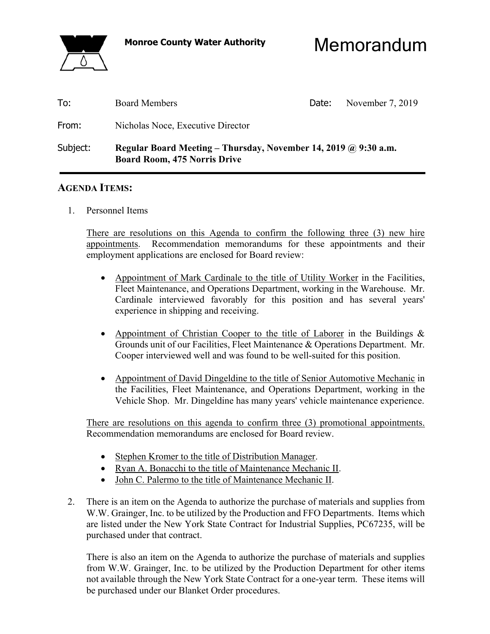

**Monroe County Water Authority** Memorandum

| To:      | <b>Board Members</b>                                                                                          | Date: | November 7, 2019 |
|----------|---------------------------------------------------------------------------------------------------------------|-------|------------------|
| From:    | Nicholas Noce, Executive Director                                                                             |       |                  |
| Subject: | Regular Board Meeting – Thursday, November 14, 2019 $\omega$ 9:30 a.m.<br><b>Board Room, 475 Norris Drive</b> |       |                  |

#### **AGENDA ITEMS:**

1. Personnel Items

There are resolutions on this Agenda to confirm the following three (3) new hire appointments. Recommendation memorandums for these appointments and their employment applications are enclosed for Board review:

- Appointment of Mark Cardinale to the title of Utility Worker in the Facilities, Fleet Maintenance, and Operations Department, working in the Warehouse. Mr. Cardinale interviewed favorably for this position and has several years' experience in shipping and receiving.
- Appointment of Christian Cooper to the title of Laborer in the Buildings & Grounds unit of our Facilities, Fleet Maintenance & Operations Department. Mr. Cooper interviewed well and was found to be well-suited for this position.
- Appointment of David Dingeldine to the title of Senior Automotive Mechanic in the Facilities, Fleet Maintenance, and Operations Department, working in the Vehicle Shop. Mr. Dingeldine has many years' vehicle maintenance experience.

There are resolutions on this agenda to confirm three (3) promotional appointments. Recommendation memorandums are enclosed for Board review.

- Stephen Kromer to the title of Distribution Manager.
- Ryan A. Bonacchi to the title of Maintenance Mechanic II.
- John C. Palermo to the title of Maintenance Mechanic II.
- 2. There is an item on the Agenda to authorize the purchase of materials and supplies from W.W. Grainger, Inc. to be utilized by the Production and FFO Departments. Items which are listed under the New York State Contract for Industrial Supplies, PC67235, will be purchased under that contract.

 There is also an item on the Agenda to authorize the purchase of materials and supplies from W.W. Grainger, Inc. to be utilized by the Production Department for other items not available through the New York State Contract for a one-year term. These items will be purchased under our Blanket Order procedures.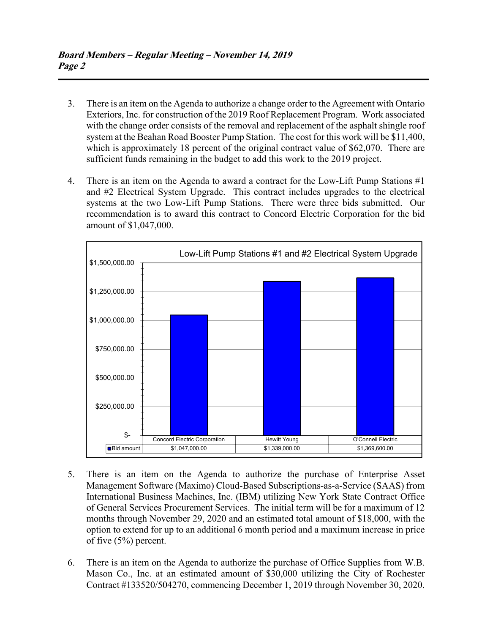- 3. There is an item on the Agenda to authorize a change order to the Agreement with Ontario Exteriors, Inc. for construction of the 2019 Roof Replacement Program. Work associated with the change order consists of the removal and replacement of the asphalt shingle roof system at the Beahan Road Booster Pump Station. The cost for this work will be \$11,400, which is approximately 18 percent of the original contract value of \$62,070. There are sufficient funds remaining in the budget to add this work to the 2019 project.
- 4. There is an item on the Agenda to award a contract for the Low-Lift Pump Stations #1 and #2 Electrical System Upgrade. This contract includes upgrades to the electrical systems at the two Low-Lift Pump Stations. There were three bids submitted. Our recommendation is to award this contract to Concord Electric Corporation for the bid amount of \$1,047,000.



- 5. There is an item on the Agenda to authorize the purchase of Enterprise Asset Management Software (Maximo) Cloud-Based Subscriptions-as-a-Service (SAAS) from International Business Machines, Inc. (IBM) utilizing New York State Contract Office of General Services Procurement Services. The initial term will be for a maximum of 12 months through November 29, 2020 and an estimated total amount of \$18,000, with the option to extend for up to an additional 6 month period and a maximum increase in price of five (5%) percent.
- 6. There is an item on the Agenda to authorize the purchase of Office Supplies from W.B. Mason Co., Inc. at an estimated amount of \$30,000 utilizing the City of Rochester Contract #133520/504270, commencing December 1, 2019 through November 30, 2020.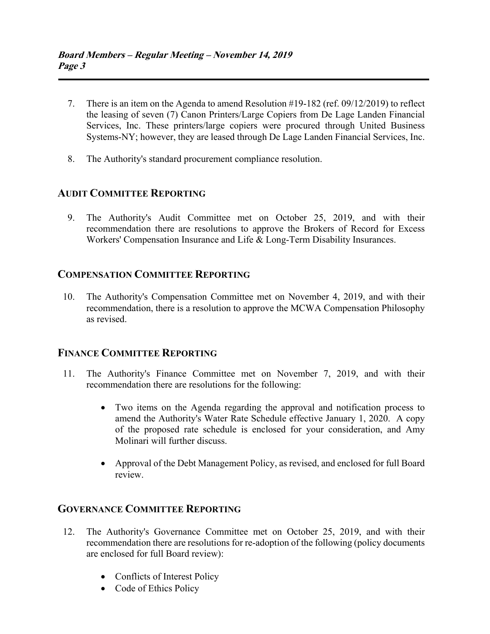- 7. There is an item on the Agenda to amend Resolution #19-182 (ref. 09/12/2019) to reflect the leasing of seven (7) Canon Printers/Large Copiers from De Lage Landen Financial Services, Inc. These printers/large copiers were procured through United Business Systems-NY; however, they are leased through De Lage Landen Financial Services, Inc.
- 8. The Authority's standard procurement compliance resolution.

# **AUDIT COMMITTEE REPORTING**

 9. The Authority's Audit Committee met on October 25, 2019, and with their recommendation there are resolutions to approve the Brokers of Record for Excess Workers' Compensation Insurance and Life & Long-Term Disability Insurances.

## **COMPENSATION COMMITTEE REPORTING**

 10. The Authority's Compensation Committee met on November 4, 2019, and with their recommendation, there is a resolution to approve the MCWA Compensation Philosophy as revised.

## **FINANCE COMMITTEE REPORTING**

- 11. The Authority's Finance Committee met on November 7, 2019, and with their recommendation there are resolutions for the following:
	- Two items on the Agenda regarding the approval and notification process to amend the Authority's Water Rate Schedule effective January 1, 2020. A copy of the proposed rate schedule is enclosed for your consideration, and Amy Molinari will further discuss.
	- Approval of the Debt Management Policy, as revised, and enclosed for full Board review.

### **GOVERNANCE COMMITTEE REPORTING**

- 12. The Authority's Governance Committee met on October 25, 2019, and with their recommendation there are resolutions for re-adoption of the following (policy documents are enclosed for full Board review):
	- Conflicts of Interest Policy
	- Code of Ethics Policy